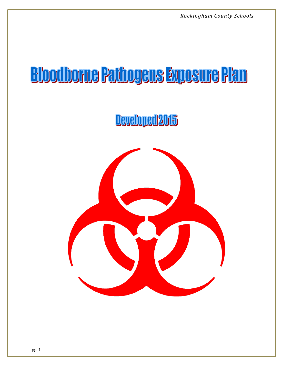# **Bloodborne Pathogens Exposure Plan**

Developed 2015

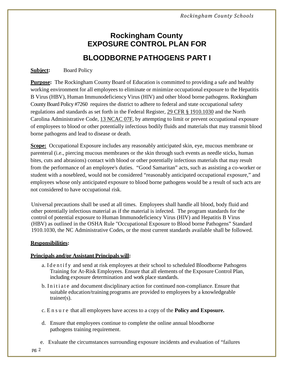## **Rockingham County EXPOSURE CONTROL PLAN FOR BLOODBORNE PATHOGENS PART I**

#### **Subject:** Board Policy

**Purpose:** The Rockingham County Board of Education is committed to providing a safe and healthy working environment for all employees to eliminate or minimize occupational exposure to the Hepatitis B Virus (HBV), Human Immunodeficiency Virus (HIV) and other blood borne pathogens. Rockingham County Board Policy #7260 requires the district to adhere to federal and state occupational safety regulations and standards as set forth in the Federal Register, [29 CFR § 1910.1030](http://policy.microscribepub.com/redirector/?loc=us&cat=cfr) and the North Carolina Administrative Code, [13 NCAC 07F,](http://reports.oah.state.nc.us/ncac.asp) by attempting to limit or prevent occupational exposure of employees to blood or other potentially infectious bodily fluids and materials that may transmit blood borne pathogens and lead to disease or death.

**Scope:** Occupational Exposure includes any reasonably anticipated skin, eye, mucous membrane or parenteral (i.e., piercing mucous membranes or the skin through such events as needle sticks, human bites, cuts and abrasions) contact with blood or other potentially infectious materials that may result from the performance of an employee's duties. "Good Samaritan" acts, such as assisting a co-worker or student with a nosebleed, would not be considered "reasonably anticipated occupational exposure," and employees whose only anticipated exposure to blood borne pathogens would be a result of such acts are not considered to have occupational risk.

Universal precautions shall be used at all times. Employees shall handle all blood, body fluid and other potentially infectious material as if the material is infected. The program standards for the control of potential exposure to Human Immunodeficiency Virus (HIV) and Hepatitis B Virus (HBV) as outlined in the OSHA Rule "Occupational Exposure to Blood borne Pathogens" Standard 1910.1030, the NC Administrative Codes, or the most current standards available shall be followed.

#### **Responsibilities:**

#### **Principals and/or Assistant Principals will:**

- a. Identify and send at risk employees at their school to scheduled Bloodborne Pathogens Training for At-Risk Employees. Ensure that all elements of the Exposure Control Plan, including exposure determination and work place standards.
- b. Initiate and document disciplinary action for continued non-compliance. Ensure that suitable education/training programs are provided to employees by a knowledgeable trainer(s).
- c. Ensure that all employees have access to a copy of the **Policy and Exposure.**
- d. Ensure that employees continue to complete the online annual bloodborne pathogens training requirement.
- e. Evaluate the circumstances surrounding exposure incidents and evaluation of "failures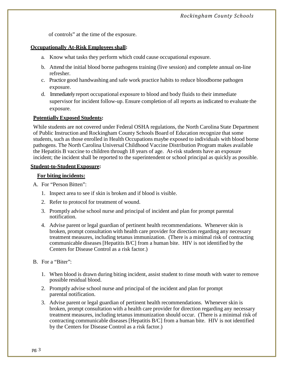of controls" at the time of the exposure.

#### **Occupationally At-Risk Employees shall:**

- a. Know what tasks they perform which could cause occupational exposure.
- b. Attend the initial blood borne pathogens training (live session) and complete annual on-line refresher.
- c. Practice good handwashing and safe work practice habits to reduce bloodborne pathogen exposure.
- d. Immediately report occupational exposure to blood and body fluids to their immediate supervisor for incident follow-up. Ensure completion of all reports as indicated to evaluate the exposure.

#### **Potentially Exposed Students:**

While students are not covered under Federal OSHA regulations, the North Carolina State Department of Public Instruction and Rockingham County Schools Board of Education recognize that some students, such as those enrolled in Health Occupations maybe exposed to individuals with blood borne pathogens. The North Carolina Universal Childhood Vaccine Distribution Program makes available the Hepatitis B vaccine to children through 18 years of age. At-risk students have an exposure incident; the incident shall be reported to the superintendent or school principal as quickly as possible.

#### **Student-to-StudentExposure:**

#### **For biting incidents:**

- A. For "Person Bitten":
	- 1. Inspect area to see if skin is broken and if blood is visible.
	- 2. Refer to protocol for treatment of wound.
	- 3. Promptly advise school nurse and principal of incident and plan for prompt parental notification.
	- 4. Advise parent or legal guardian of pertinent health recommendations. Whenever skin is broken, prompt consultation with health care provider for direction regarding any necessary treatment measures, including tetanus immunization. (There is a minimal risk of contracting communicable diseases [Hepatitis B/C] from a human bite. HIV is not identified by the Centers for Disease Control as a risk factor.)
- B. For a "Biter":
	- 1. When blood is drawn during biting incident, assist student to rinse mouth with water to remove possible residual blood.
	- 2. Promptly advise school nurse and principal of the incident and plan for prompt parental notification.
	- 3. Advise parent or legal guardian of pertinent health recommendations. Whenever skin is broken, prompt consultation with a health care provider for direction regarding any necessary treatment measures, including tetanus immunization should occur. (There is a minimal risk of contracting communicable diseases [Hepatitis B/C] from a human bite. HIV is not identified by the Centers for Disease Control as a risk factor.)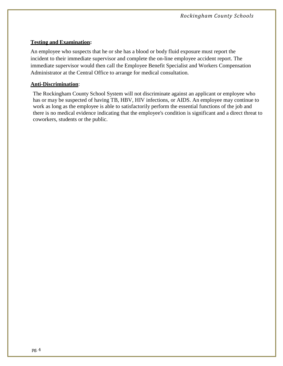#### **Testing and Examination:**

An employee who suspects that he or she has a blood or body fluid exposure must report the incident to their immediate supervisor and complete the on-line employee accident report. The immediate supervisor would then call the Employee Benefit Specialist and Workers Compensation Administrator at the Central Office to arrange for medical consultation.

#### **Anti-Discrimination**:

The Rockingham County School System will not discriminate against an applicant or employee who has or may be suspected of having TB, HBV, HIV infections, or AIDS. An employee may continue to work as long as the employee is able to satisfactorily perform the essential functions of the job and there is no medical evidence indicating that the employee's condition is significant and a direct threat to coworkers, students or the public.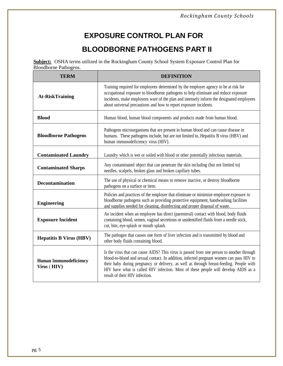## **EXPOSURE CONTROL PLAN FOR**

### **BLOODBORNE PATHOGENS PART II**

**Subject:** OSHA terms utilized in the Rockingham County School System Exposure Control Plan for Bloodborne Pathogens.

| <b>TERM</b>                                  | <b>DEFINITION</b>                                                                                                                                                                                                                                                                                                                                                                                       |  |  |
|----------------------------------------------|---------------------------------------------------------------------------------------------------------------------------------------------------------------------------------------------------------------------------------------------------------------------------------------------------------------------------------------------------------------------------------------------------------|--|--|
| <b>At-RiskTraining</b>                       | Training required for employees determined by the employer agency to be at risk for<br>occupational exposure to bloodborne pathogens to help eliminate and reduce exposure<br>incidents, make employees ware of the plan and intensely inform the designated employees<br>about universal precautions and how to report exposure incidents.                                                             |  |  |
| <b>Blood</b>                                 | Human blood, human blood components and products made from human blood.                                                                                                                                                                                                                                                                                                                                 |  |  |
| <b>Bloodborne Pathogens</b>                  | Pathogens microorganisms that are present in human blood and can cause disease in<br>humans. These pathogens include, but are not limited to, Hepatitis B virus (HBV) and<br>human immunodeficiency virus (HIV).                                                                                                                                                                                        |  |  |
| <b>Contaminated Laundry</b>                  | Laundry which is wet or soiled with blood or other potentially infectious materials.                                                                                                                                                                                                                                                                                                                    |  |  |
| <b>Contaminated Sharps</b>                   | Any contaminated object that can penetrate the skin including (but not limited to)<br>needles, scalpels, broken glass and broken capillary tubes.                                                                                                                                                                                                                                                       |  |  |
| <b>Decontamination</b>                       | The use of physical or chemical means to remove inactive, or destroy bloodborne<br>pathogens on a surface or item.                                                                                                                                                                                                                                                                                      |  |  |
| <b>Engineering</b>                           | Policies and practices of the employer that eliminate or minimize employee exposure to<br>bloodborne pathogens such as providing protective equipment, handwashing facilities<br>and supplies needed for cleaning, disinfecting and proper disposal of waste.                                                                                                                                           |  |  |
| <b>Exposure Incident</b>                     | An incident when an employee has direct (parenteral) contact with blood, body fluids<br>containing blood, semen, vaginal secretions or unidentified fluids from a needle stick,<br>cut, bite, eye-splash or mouth splash.                                                                                                                                                                               |  |  |
| <b>Hepatitis B Virus (HBV)</b>               | The pathogen that causes one form of liver infection and is transmitted by blood and<br>other body fluids containing blood.                                                                                                                                                                                                                                                                             |  |  |
| <b>Human Immunodeficiency</b><br>Virus (HIV) | Is the virus that can cause AIDS? This virus is passed from one person to another through<br>blood-to-blood and sexual contact. In addition, infected pregnant women can pass HIV to<br>their baby during pregnancy or delivery, as well as through breast-feeding. People with<br>HIV have what is called HIV infection. Most of these people will develop AIDS as a<br>result of their HIV infection. |  |  |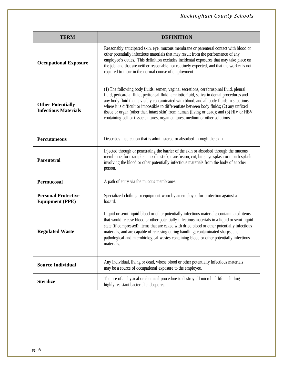| <b>TERM</b>                                             | <b>DEFINITION</b>                                                                                                                                                                                                                                                                                                                                                                                                                                                                                                                                             |  |
|---------------------------------------------------------|---------------------------------------------------------------------------------------------------------------------------------------------------------------------------------------------------------------------------------------------------------------------------------------------------------------------------------------------------------------------------------------------------------------------------------------------------------------------------------------------------------------------------------------------------------------|--|
| <b>Occupational Exposure</b>                            | Reasonably anticipated skin, eye, mucous membrane or parenteral contact with blood or<br>other potentially infectious materials that may result from the performance of any<br>employee's duties. This definition excludes incidental exposures that may take place on<br>the job, and that are neither reasonable nor routinely expected, and that the worker is not<br>required to incur in the normal course of employment.                                                                                                                                |  |
| <b>Other Potentially</b><br><b>Infectious Materials</b> | (1) The following body fluids: semen, vaginal secretions, cerebrospinal fluid, pleural<br>fluid, pericardial fluid, peritoneal fluid, amniotic fluid, saliva in dental procedures and<br>any body fluid that is visibly contaminated with blood, and all body fluids in situations<br>where it is difficult or impossible to differentiate between body fluids; (2) any unfixed<br>tissue or organ (other than intact skin) from human (living or dead); and (3) HIV or HBV<br>containing cell or tissue cultures, organ cultures, medium or other solutions. |  |
| <b>Percutaneous</b>                                     | Describes medication that is administered or absorbed through the skin.                                                                                                                                                                                                                                                                                                                                                                                                                                                                                       |  |
| <b>Parenteral</b>                                       | Injected through or penetrating the barrier of the skin or absorbed through the mucous<br>membrane, for example, a needle stick, transfusion, cut, bite, eye splash or mouth splash<br>involving the blood or other potentially infectious materials from the body of another<br>person.                                                                                                                                                                                                                                                                      |  |
| <b>Permucosal</b>                                       | A path of entry via the mucous membranes.                                                                                                                                                                                                                                                                                                                                                                                                                                                                                                                     |  |
| <b>Personal Protective</b><br><b>Equipment (PPE)</b>    | Specialized clothing or equipment worn by an employee for protection against a<br>hazard.                                                                                                                                                                                                                                                                                                                                                                                                                                                                     |  |
| <b>Regulated Waste</b>                                  | Liquid or semi-liquid blood or other potentially infectious materials; contaminated items<br>that would release blood or other potentially infectious materials in a liquid or semi-liquid<br>state (if compressed); items that are caked with dried blood or other potentially infectious<br>materials, and are capable of releasing during handling; contaminated sharps, and<br>pathological and microbiological wastes containing blood or other potentially infectious<br>materials.                                                                     |  |
| <b>Source Individual</b>                                | Any individual, living or dead, whose blood or other potentially infectious materials<br>may be a source of occupational exposure to the employee.                                                                                                                                                                                                                                                                                                                                                                                                            |  |
| <b>Sterilize</b>                                        | The use of a physical or chemical procedure to destroy all microbial life including<br>highly resistant bacterial endospores.                                                                                                                                                                                                                                                                                                                                                                                                                                 |  |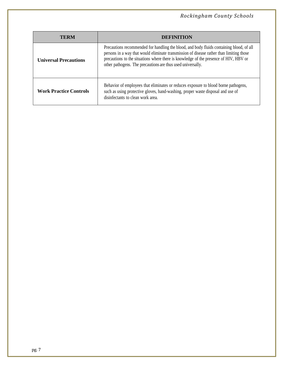| TERM                          | DEFINITION                                                                                                                                                                                                                                                                                                                                   |  |
|-------------------------------|----------------------------------------------------------------------------------------------------------------------------------------------------------------------------------------------------------------------------------------------------------------------------------------------------------------------------------------------|--|
| <b>Universal Precautions</b>  | Precautions recommended for handling the blood, and body fluids containing blood, of all<br>persons in a way that would eliminate transmission of disease rather than limiting those<br>precautions to the situations where there is knowledge of the presence of HIV, HBV or<br>other pathogens. The precautions are thus used universally. |  |
| <b>Work Practice Controls</b> | Behavior of employees that eliminates or reduces exposure to blood borne pathogens,<br>such as using protective gloves, hand-washing, proper waste disposal and use of<br>disinfectants to clean work area.                                                                                                                                  |  |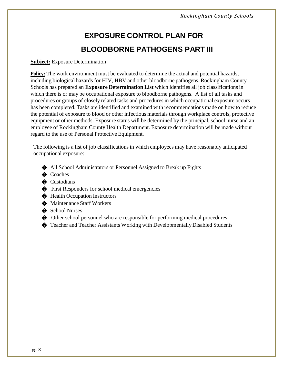## **EXPOSURE CONTROL PLAN FOR BLOODBORNE PATHOGENS PART III**

#### **Subject:** Exposure Determination

**Policy:** The work environment must be evaluated to determine the actual and potential hazards, including biological hazards for HIV, HBV and other bloodborne pathogens. Rockingham County Schools has prepared an **Exposure Determination List** which identifies all job classificationsin which there is or may be occupational exposure to bloodborne pathogens. A list of all tasks and procedures or groups of closely related tasks and procedures in which occupational exposure occurs has been completed. Tasks are identified and examined with recommendations made on how to reduce the potential of exposure to blood or other infectious materials through workplace controls, protective equipment or other methods. Exposure status will be determined by the principal, school nurse and an employee of Rockingham County Health Department. Exposure determination will be made without regard to the use of Personal Protective Equipment.

The following is a list of job classifications in which employees may have reasonably anticipated occupational exposure:

- � All School Administrators or Personnel Assigned to Break up Fights
- $\bullet$  Coaches
- $\bullet$  Custodians
- � First Responders for school medical emergencies
- $\triangle$  Health Occupation Instructors
- $\bullet$  Maintenance Staff Workers
- School Nurses
- � Other school personnel who are responsible for performing medical procedures
- � Teacher and Teacher Assistants Working with DevelopmentallyDisabled Students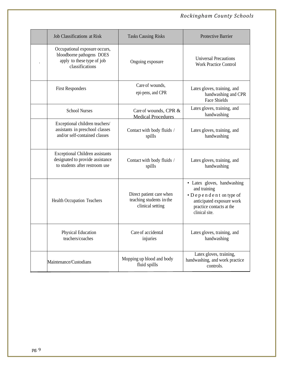| <b>Job Classifications at Risk</b>                                                                           | <b>Tasks Causing Risks</b>                                               | <b>Protective Barrier</b>                                                                                                                        |
|--------------------------------------------------------------------------------------------------------------|--------------------------------------------------------------------------|--------------------------------------------------------------------------------------------------------------------------------------------------|
| Occupational exposure occurs,<br>bloodborne pathogens DOES<br>apply to these type of job<br>classifications  | Ongoing exposure                                                         | <b>Universal Precautions</b><br><b>Work Practice Control</b>                                                                                     |
| <b>First Responders</b>                                                                                      | Care of wounds,<br>epi-pens, and CPR                                     | Latex gloves, training, and<br>handwashing and CPR<br><b>Face Shields</b>                                                                        |
| <b>School Nurses</b>                                                                                         | Care of wounds, CPR &<br><b>Medical Procedures</b>                       | Latex gloves, training, and<br>handwashing                                                                                                       |
| Exceptional children teachers/<br>assistants in preschool classes<br>and/or self-contained classes           | Contact with body fluids /<br>spills                                     | Latex gloves, training, and<br>handwashing                                                                                                       |
| <b>Exceptional Children assistants</b><br>designated to provide assistance<br>to students after restroom use | Contact with body fluids /<br>spills                                     | Latex gloves, training, and<br>handwashing                                                                                                       |
| <b>Health Occupation Teachers</b>                                                                            | Direct patient care when<br>teaching students in the<br>clinical setting | • Latex gloves, handwashing<br>and training<br>• Dependent on type of<br>anticipated exposure work<br>practice contacts at the<br>clinical site. |
| Physical Education<br>teachers/coaches                                                                       | Care of accidental<br>injuries                                           | Latex gloves, training, and<br>handwashing                                                                                                       |
| Maintenance/Custodians                                                                                       | Mopping up blood and body<br>fluid spills                                | Latex gloves, training,<br>handwashing, and work practice<br>controls.                                                                           |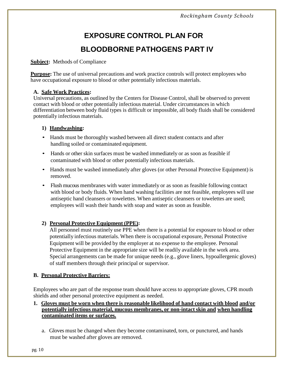## **EXPOSURE CONTROL PLAN FOR BLOODBORNE PATHOGENS PART IV**

#### **Subject:** Methods of Compliance

**Purpose:** The use of universal precautions and work practice controls will protect employees who have occupational exposure to blood or other potentially infectious materials.

#### **A. Safe Work Practices:**

Universal precautions, as outlined by the Centers for Disease Control, shall be observed to prevent contact with blood or other potentially infectious material. Under circumstancesin which differentiation between body fluid types is difficult or impossible, all body fluids shall be considered potentially infectious materials.

#### **1) Handwashing:**

- Hands must be thoroughly washed between all direct student contacts and after handling soiled or contaminated equipment.
- Hands or other skin surfaces must be washed immediately or as soon as feasible if contaminated with blood or other potentially infectious materials.
- Hands must be washed immediately after gloves (or other Personal Protective Equipment) is removed.
- Flush mucous membranes with water immediately or as soon as feasible following contact with blood or body fluids. When hand washing facilities are not feasible, employees will use antiseptic hand cleansers or towelettes. When antiseptic cleansers or towelettes are used; employees will wash their hands with soap and water as soon as feasible.

#### **2) Personal Protective Equipment (PPE):**

All personnel must routinely use PPE when there is a potential for exposure to blood or other potentially infectious materials. When there is occupational exposure, Personal Protective Equipment will be provided by the employer at no expense to the employee. Personal Protective Equipment in the appropriate size will be readily available in the work area. Special arrangements can be made for unique needs (e.g., glove liners, hypoallergenic gloves) of staff members through their principal or supervisor.

#### **B. Personal Protective Barriers:**

Employees who are part of the response team should have access to appropriate gloves, CPR mouth shields and other personal protective equipment as needed.

#### **1. Gloves must be worn when there is reasonable likelihood of hand contact with blood and/or potentially infectious material, mucous membranes, or non-intact skin and when handling contaminated items or surfaces.**

a. Gloves must be changed when they become contaminated, torn, or punctured, and hands must be washed after gloves are removed.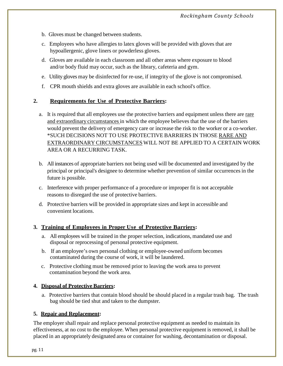- b. Gloves must be changed between students.
- c. Employees who have allergies to latex gloves will be provided with gloves that are hypoallergenic, glove liners or powderless gloves.
- d. Gloves are available in each classroom and all other areas where exposure to blood and/or body fluid may occur, such as the library, cafeteria and gym.
- e. Utility gloves may be disinfected for re-use, if integrity of the glove is not compromised.
- f. CPR mouth shields and extra gloves are available in each school's office.

#### **2. Requirements for Use of Protective Barriers:**

- a. It is required that all employees use the protective barriers and equipment unless there are rare and extraordinary circumstances in which the employee believes that the use of the barriers would prevent the delivery of emergency care or increase the risk to the worker or a co-worker. \*SUCH DECISIONS NOT TO USE PROTECTIVE BARRIERS IN THOSE RARE AND EXTRAORDINARY CIRCUMSTANCESWILL NOT BE APPLIED TO A CERTAIN WORK AREA OR A RECURRING TASK.
- b. All instances of appropriate barriers not being used will be documented and investigated by the principal or principal's designee to determine whether prevention of similar occurrences in the future is possible.
- c. Interference with proper performance of a procedure or improper fit is not acceptable reasons to disregard the use of protective barriers.
- d. Protective barriers will be provided in appropriate sizes and kept in accessible and convenient locations.

#### **3. Training of Employees in Proper Use of Protective Barriers:**

- a. All employees will be trained in the proper selection, indications, mandated use and disposal or reprocessing of personal protective equipment.
- b. If an employee's own personal clothing or employee-owned uniform becomes contaminated during the course of work, it will be laundered.
- c. Protective clothing must be removed prior to leaving the work area to prevent contamination beyond the work area.

#### **4. Disposal of Protective Barriers:**

a. Protective barriers that contain blood should be should placed in a regular trash bag. The trash bag should be tied shut and taken to the dumpster.

#### **5. Repair and Replacement:**

The employer shall repair and replace personal protective equipment as needed to maintain its effectiveness, at no cost to the employee. When personal protective equipment is removed, it shall be placed in an appropriately designated area or container for washing, decontamination or disposal.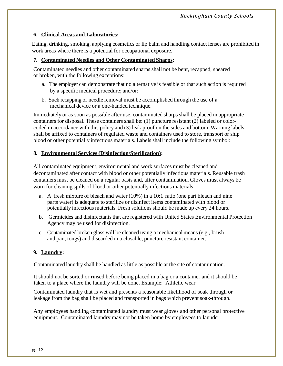#### **6. Clinical Areas and Laboratories:**

Eating, drinking, smoking, applying cosmetics or lip balm and handling contact lenses are prohibited in work areas where there is a potential for occupational exposure.

#### **7. Contaminated Needles and Other Contaminated Sharps:**

Contaminated needles and other contaminated sharps shall not be bent, recapped, sheared or broken, with the following exceptions:

- a. The employer can demonstrate that no alternative is feasible or that such action is required by a specific medical procedure; and/or:
- b. Such recapping or needle removal must be accomplished through the use of a mechanical device or a one-handed technique.

Immediately or as soon as possible after use, contaminated sharps shall be placed in appropriate containers for disposal. These containers shall be: (1) puncture resistant (2) labeled or colorcoded in accordance with this policy and (3) leak proof on the sides and bottom. Warning labels shall be affixed to containers of regulated waste and containers used to store, transport or ship blood or other potentially infectious materials. Labels shall include the following symbol:

#### **8. Environmental Services (Disinfection/Sterilization):**

All contaminated equipment, environmental and work surfaces must be cleaned and decontaminated after contact with blood or other potentially infectious materials. Reusable trash containers must be cleaned on a regular basis and, after contamination. Gloves must always be worn for cleaning spills of blood or other potentially infectious materials.

- a. A fresh mixture of bleach and water (10%) in a 10:1 ratio (one part bleach and nine parts water) is adequate to sterilize or disinfect items contaminated with blood or potentially infectious materials. Fresh solutions should be made up every 24 hours.
- b. Germicides and disinfectants that are registered with United States Environmental Protection Agency may be used for disinfection.
- c. Contaminated broken glass will be cleaned using a mechanical means (e.g., brush and pan, tongs) and discarded in a closable, puncture resistant container.

#### **9. Laundry:**

Contaminated laundry shall be handled as little as possible at the site of contamination.

It should not be sorted or rinsed before being placed in a bag or a container and it should be taken to a place where the laundry will be done. Example: Athletic wear

Contaminated laundry that is wet and presents a reasonable likelihood of soak through or leakage from the bag shall be placed and transported in bags which prevent soak-through.

Any employees handling contaminated laundry must wear gloves and other personal protective equipment. Contaminated laundry may not be taken home by employees to launder.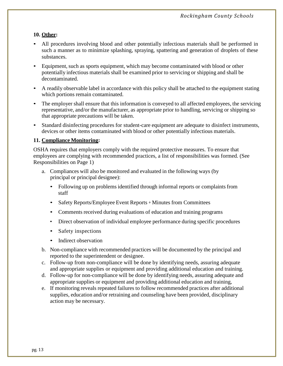#### **10. Other:**

- All procedures involving blood and other potentially infectious materials shall be performed in such a manner as to minimize splashing, spraying, spattering and generation of droplets of these substances.
- Equipment, such as sports equipment, which may become contaminated with blood or other potentially infectious materials shall be examined prior to servicing or shipping and shall be decontaminated.
- A readily observable label in accordance with this policy shall be attached to the equipment stating which portions remain contaminated.
- The employer shall ensure that this information is conveyed to all affected employees, the servicing representative, and/or the manufacturer, as appropriate prior to handling, servicing or shipping so that appropriate precautions will be taken.
- Standard disinfecting procedures for student-care equipment are adequate to disinfect instruments, devices or other items contaminated with blood or other potentially infectious materials.

#### **11. Compliance Monitoring:**

OSHA requires that employers comply with the required protective measures. To ensure that employees are complying with recommended practices, a list of responsibilities was formed. (See Responsibilities on Page 1)

- a. Compliances will also be monitored and evaluated in the following ways (by principal or principal designee):
	- Following up on problems identified through informal reports or complaints from staff
	- Safety Reports/Employee Event Reports <sup>+</sup> Minutes from Committees
	- Comments received during evaluations of education and training programs
	- Direct observation of individual employee performance during specific procedures
	- Safety inspections
	- Indirect observation
- b. Non-compliance with recommended practices will be documented by the principal and reported to the superintendent or designee.
- c. Follow-up from non-compliance will be done by identifying needs, assuring adequate and appropriate supplies or equipment and providing additional education and training.
- d. Follow-up for non-compliance will be done by identifying needs, assuring adequate and appropriate supplies or equipment and providing additional education and training,
- e. If monitoring reveals repeated failures to follow recommended practices after additional supplies, education and/or retraining and counseling have been provided, disciplinary action may be necessary.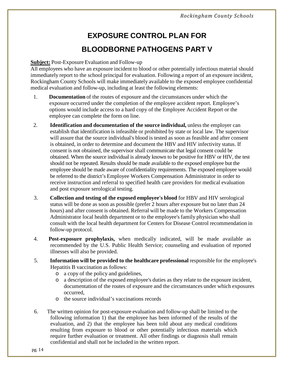## **EXPOSURE CONTROL PLAN FOR BLOODBORNE PATHOGENS PART V**

#### **Subject:** Post-Exposure Evaluation and Follow-up

All employees who have an exposure incident to blood or other potentially infectious material should immediately report to the school principal for evaluation. Following a report of an exposure incident, Rockingham County Schools will make immediately available to the exposed employee confidential medical evaluation and follow-up, including at least the following elements:

- 1. **Documentation** of the routes of exposure and the circumstances under which the exposure occurred under the completion of the employee accident report. Employee's options would include access to a hard copy of the Employee Accident Report or the employee can complete the form on line.
- 2. **Identification and documentation of the source individual,** unless the employer can establish that identification is infeasible or prohibited by state or local law. The supervisor will assure that the source individual's blood is tested as soon as feasible and after consent is obtained, in order to determine and document the HBV and HIV infectivity status. If consent is not obtained, the supervisor shall communicate that legal consent could be obtained. When the source individual is already known to be positive for HBV or HIV, the test should not be repeated. Results should be made available to the exposed employee but the employee should be made aware of confidentiality requirements. The exposed employee would be referred to the district's Employee Workers Compensation Administrator in order to receive instruction and referral to specified health care providers for medical evaluation and post exposure serological testing.
- 3. **Collection and testing of the exposed employee's blood** for HBV and HIV serological status will be done as soon as possible (prefer 2 hours after exposure but no later than 24 hours) and after consent is obtained. Referral will be made to the Workers Compensation Administrator local health department or to the employee's family physician who shall consult with the local health department for Centers for Disease Control recommendation in follow-up protocol.
- 4. **Post-exposure prophylaxis,** when medically indicated, will be made available as recommended by the U.S. Public Health Service; counseling and evaluation of reported illnesses will also be provided.
- 5. **Information will be provided to the healthcare professional** responsible for the employee's Hepatitis B vaccination as follows:
	- o a copy of the policy and guidelines,
	- o a description of the exposed employee's duties as they relate to the exposure incident, documentation of the routes of exposure and the circumstances under which exposures occurred,
	- o the source individual's vaccinations records
- 6. The written opinion for post-exposure evaluation and follow-up shall be limited to the following information 1) that the employee has been informed of the results of the evaluation, and 2) that the employee has been told about any medical conditions resulting from exposure to blood or other potentially infectious materials which require further evaluation or treatment. All other findings or diagnosis shall remain confidential and shall not be included in the written report.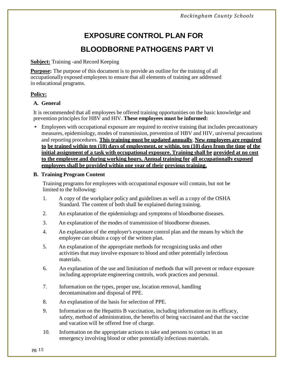## **EXPOSURE CONTROL PLAN FOR BLOODBORNE PATHOGENS PART VI**

#### **Subject:** Training -and Record Keeping

**Purpose:** The purpose of this document is to provide an outline for the training of all occupationally exposed employees to ensure that all elements of training are addressed in educational programs.

#### **Policy:**

#### **A. General**

It is recommended that all employees be offered training opportunities on the basic knowledge and prevention principles for HBV and HIV. **These employees must be informed:**

• Employees with occupational exposure are required to receive training that includes precautionary measures, epidemiology, modes of transmission, prevention of HBV and HIV, universal precautions and reporting procedures. **This training must be updated annually**. **New employees are required** to be trained within ten  $(10)$  days of employment, or within, ten  $(10)$  days from the time of the **initial assignment of a task with occupational exposure. Training shall be provided at no cost to the employee and during working hours. Annual training for all occupationally exposed employees shall be provided within one year of their previous training.**

#### **B. Training Program Content**

Training programsfor employees with occupational exposure will contain, but not be limited to the following:

- 1. A copy of the workplace policy and guidelines as well as a copy of the OSHA Standard. The content of both shall be explained during training.
- 2. An explanation of the epidemiology and symptoms of bloodborne diseases.
- 3. An explanation of the modes of transmission of bloodborne diseases.
- 4. An explanation of the employer's exposure control plan and the means by which the employee can obtain a copy of the written plan.
- 5. An explanation of the appropriate methods for recognizing tasks and other activities that may involve exposure to blood and other potentially infectious materials.
- 6. An explanation of the use and limitation of methods that will prevent or reduce exposure including appropriate engineering controls, work practices and personal.
- 7. Information on the types, proper use, location removal, handling decontamination and disposal of PPE.
- 8. An explanation of the basis for selection of PPE.
- 9. Information on the Hepatitis B vaccination, including information on its efficacy, safety, method of administration, the benefits of being vaccinated and that the vaccine and vacation will be offered free of charge.
- 10. Information on the appropriate actions to take and persons to contact in an emergency involving blood or other potentially infectious materials.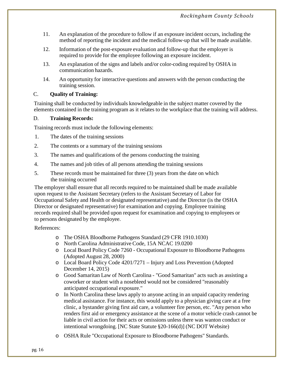- 11. An explanation of the procedure to follow if an exposure incident occurs, including the method of reporting the incident and the medical follow-up that will be made available.
- 12. Information of the post-exposure evaluation and follow-up that the employer is required to provide for the employee following an exposure incident.
- 13. An explanation of the signs and labels and/or color-coding required by OSHA in communication hazards.
- 14. An opportunity for interactive questions and answers with the person conducting the training session.

#### C. **Quality of Training:**

Training shall be conducted by individuals knowledgeable in the subject matter covered by the elements contained in the training program as it relates to the workplace that the training will address.

#### D. **Training Records:**

Training records must include the following elements:

- 1. The dates of the training sessions
- 2. The contents or a summary of the training sessions
- 3. The names and qualifications of the persons conducting the training
- 4. The names and job titles of all persons attending the training sessions
- 5. These records must be maintained for three (3) years from the date on which the training occurred

The employer shall ensure that all records required to be maintained shall be made available upon request to the Assistant Secretary (refers to the Assistant Secretary of Labor for Occupational Safety and Health or designated representative) and the Director (is the OSHA Director or designated representative) for examination and copying. Employee training records required shall be provided upon request for examination and copying to employees or to persons designated by the employee.

References:

- o The OSHA Bloodborne Pathogens Standard (29 CFR 1910.1030)
- o North Carolina Administrative Code, 15A NCAC 19.0200
- o Local Board Policy Code 7260 Occupational Exposure to Bloodborne Pathogens (Adopted August 28, 2000)
- o Local Board Policy Code 4201/7271 Injury and Loss Prevention (Adopted December 14, 2015)
- o Good Samaritan Law of North Carolina "Good Samaritan" acts such as assisting a coworker or student with a nosebleed would not be considered "reasonably anticipated occupational exposure."
- o In North Carolina these laws apply to anyone acting in an unpaid capacity rendering medical assistance. For instance, this would apply to a physician giving care at a free clinic, a bystander giving first aid care, a volunteer fire person, etc. "Any person who renders first aid or emergency assistance at the scene of a motor vehicle crash cannot be liable in civil action for their acts or omissions unless there was wanton conduct or intentional wrongdoing. [NC State Statute §20-166(d)] (NC DOT Website)
- o OSHA Rule "Occupational Exposure to Bloodborne Pathogens" Standards.